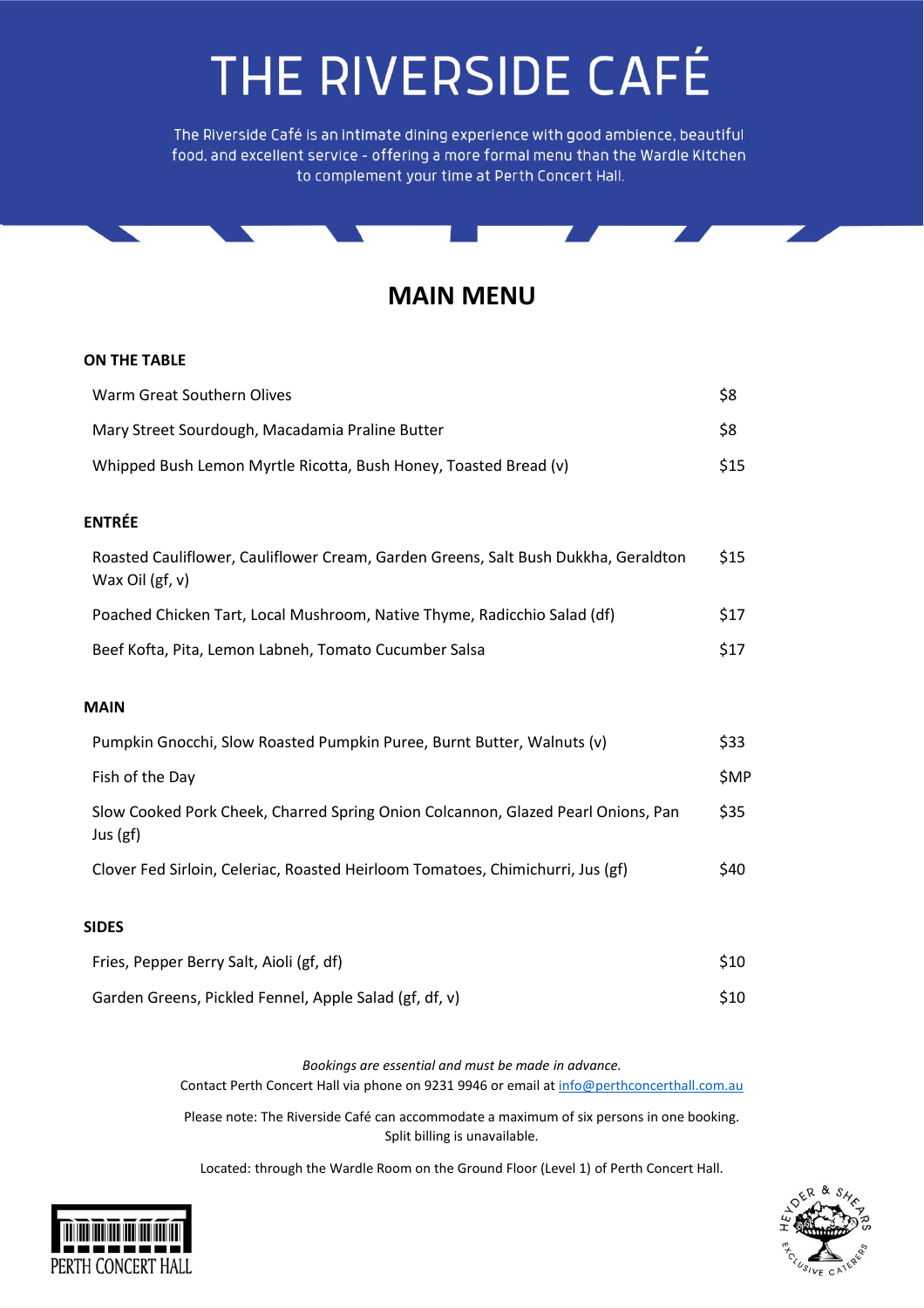The Riverside Café is an intimate dining experience with good ambience, beautiful food, and excellent service - offering a more formal menu than the Wardle Kitchen to complement your time at Perth Concert Hall.

#### **MAIN MENU**

#### **ON THE TABLE**

| Warm Great Southern Olives                                                                            | \$8  |
|-------------------------------------------------------------------------------------------------------|------|
| Mary Street Sourdough, Macadamia Praline Butter                                                       | \$8  |
| Whipped Bush Lemon Myrtle Ricotta, Bush Honey, Toasted Bread (v)                                      | \$15 |
| <b>ENTRÉE</b>                                                                                         |      |
| Roasted Cauliflower, Cauliflower Cream, Garden Greens, Salt Bush Dukkha, Geraldton<br>Wax Oil (gf, v) | \$15 |
| Poached Chicken Tart, Local Mushroom, Native Thyme, Radicchio Salad (df)                              | \$17 |
| Beef Kofta, Pita, Lemon Labneh, Tomato Cucumber Salsa                                                 | \$17 |
| <b>MAIN</b>                                                                                           |      |
| Pumpkin Gnocchi, Slow Roasted Pumpkin Puree, Burnt Butter, Walnuts (v)                                | \$33 |
| Fish of the Day                                                                                       | \$MP |
| Slow Cooked Pork Cheek, Charred Spring Onion Colcannon, Glazed Pearl Onions, Pan<br>Jus (gf)          | \$35 |
| Clover Fed Sirloin, Celeriac, Roasted Heirloom Tomatoes, Chimichurri, Jus (gf)                        | \$40 |
| <b>SIDES</b>                                                                                          |      |
| Fries, Pepper Berry Salt, Aioli (gf, df)                                                              | \$10 |
| Garden Greens, Pickled Fennel, Apple Salad (gf, df, v)                                                | \$10 |

*Bookings are essential and must be made in advance.*  Contact Perth Concert Hall via phone on 9231 9946 or email at [info@perthconcerthall.com.au](mailto:info@perthconcerthall.com.au)

Please note: The Riverside Café can accommodate a maximum of six persons in one booking. Split billing is unavailable.

Located: through the Wardle Room on the Ground Floor (Level 1) of Perth Concert Hall.



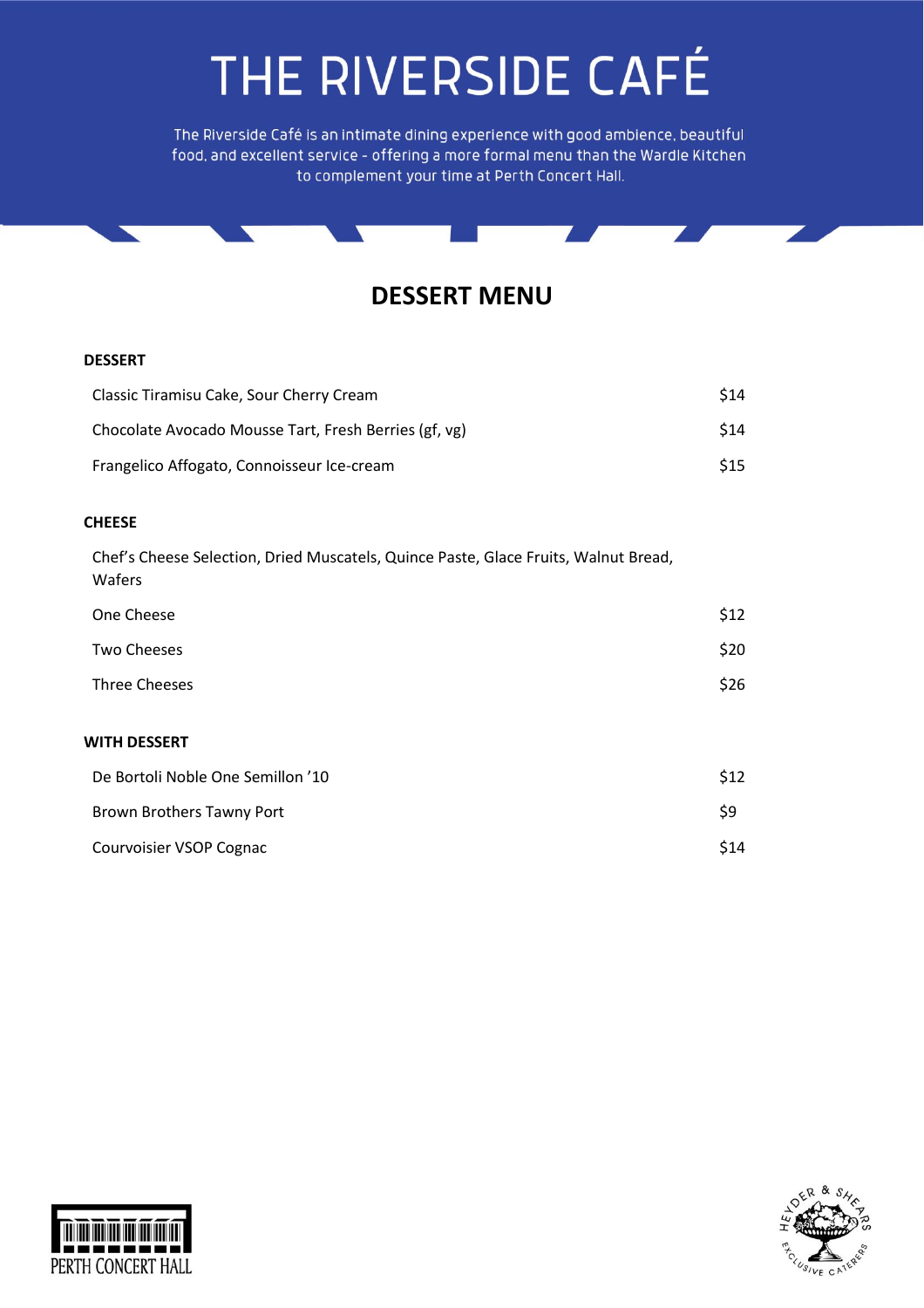The Riverside Café is an intimate dining experience with good ambience, beautiful food, and excellent service - offering a more formal menu than the Wardle Kitchen to complement your time at Perth Concert Hall.



#### **DESSERT**

| Classic Tiramisu Cake, Sour Cherry Cream              | <b>S14</b> |
|-------------------------------------------------------|------------|
| Chocolate Avocado Mousse Tart, Fresh Berries (gf, vg) | <b>S14</b> |
| Frangelico Affogato, Connoisseur Ice-cream            | <b>S15</b> |

#### **CHEESE**

Chef's Cheese Selection, Dried Muscatels, Quince Paste, Glace Fruits, Walnut Bread, Wafers

| One Cheese                        | \$12 |
|-----------------------------------|------|
| <b>Two Cheeses</b>                | \$20 |
| Three Cheeses                     | \$26 |
| WITH DESSERT                      |      |
| De Bortoli Noble One Semillon '10 | \$12 |
| Brown Brothers Tawny Port         | \$9  |
| Courvoisier VSOP Cognac           | \$14 |



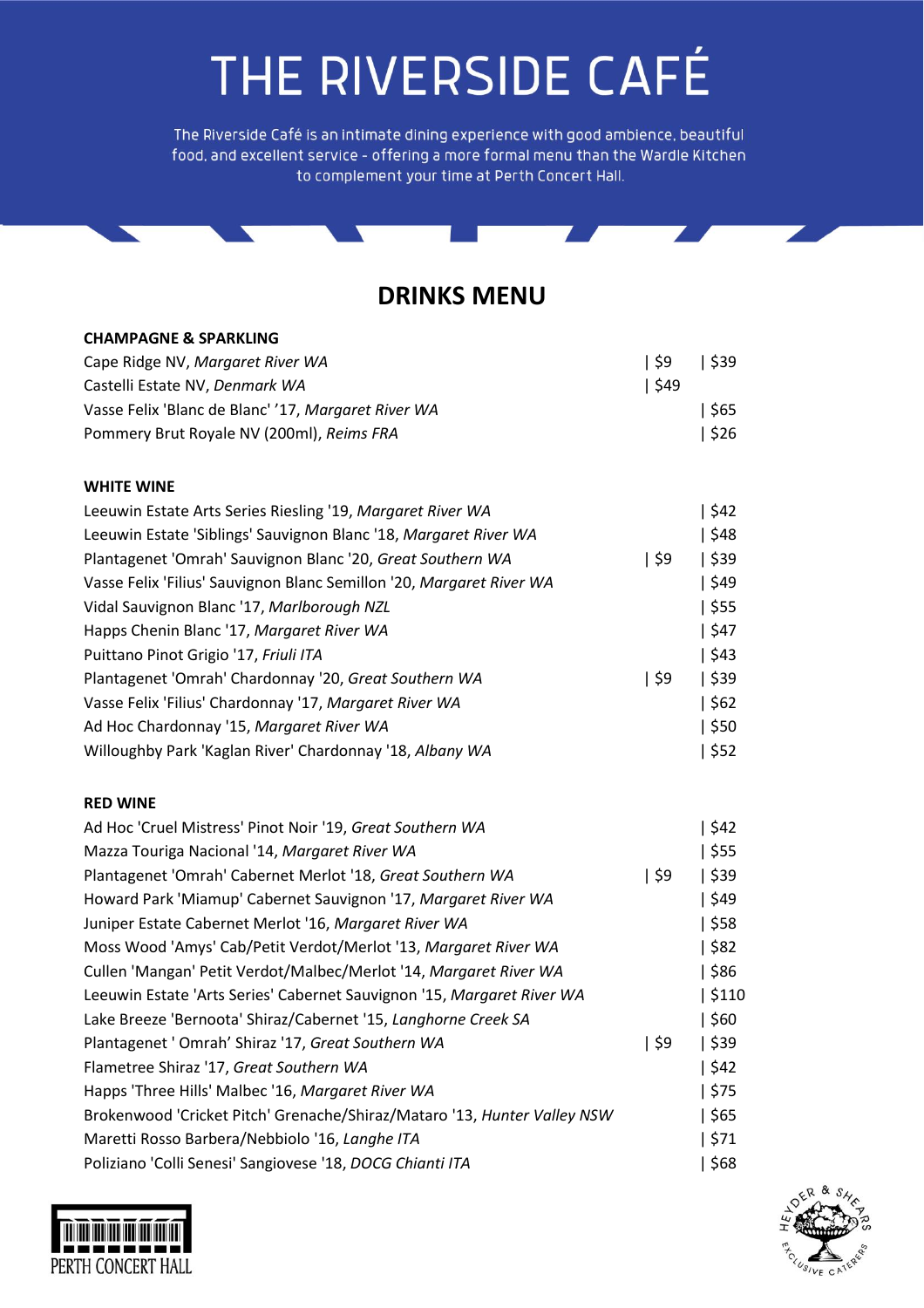The Riverside Café is an intimate dining experience with good ambience, beautiful food, and excellent service - offering a more formal menu than the Wardle Kitchen to complement your time at Perth Concert Hall.

### **DRINKS MENU**

Π

| <b>CHAMPAGNE &amp; SPARKLING</b>                                         |         |       |
|--------------------------------------------------------------------------|---------|-------|
| Cape Ridge NV, Margaret River WA                                         | \$9     | \$39  |
| Castelli Estate NV, Denmark WA                                           | \$49    |       |
| Vasse Felix 'Blanc de Blanc' '17, Margaret River WA                      |         | \$65  |
| Pommery Brut Royale NV (200ml), Reims FRA                                |         | \$26  |
| <b>WHITE WINE</b>                                                        |         |       |
| Leeuwin Estate Arts Series Riesling '19, Margaret River WA               |         | \$42  |
| Leeuwin Estate 'Siblings' Sauvignon Blanc '18, Margaret River WA         |         | \$48  |
| Plantagenet 'Omrah' Sauvignon Blanc '20, Great Southern WA               | \$9     | \$39  |
| Vasse Felix 'Filius' Sauvignon Blanc Semillon '20, Margaret River WA     |         | \$49  |
| Vidal Sauvignon Blanc '17, Marlborough NZL                               |         | \$55  |
| Happs Chenin Blanc '17, Margaret River WA                                |         | \$47  |
| Puittano Pinot Grigio '17, Friuli ITA                                    |         | \$43  |
| Plantagenet 'Omrah' Chardonnay '20, Great Southern WA                    | \$9     | \$39  |
| Vasse Felix 'Filius' Chardonnay '17, Margaret River WA                   |         | \$62  |
| Ad Hoc Chardonnay '15, Margaret River WA                                 |         | \$50  |
| Willoughby Park 'Kaglan River' Chardonnay '18, Albany WA                 |         | \$52  |
| <b>RED WINE</b>                                                          |         |       |
| Ad Hoc 'Cruel Mistress' Pinot Noir '19, Great Southern WA                |         | \$42  |
| Mazza Touriga Nacional '14, Margaret River WA                            |         | \$55  |
| Plantagenet 'Omrah' Cabernet Merlot '18, Great Southern WA               | $ $ \$9 | \$39  |
| Howard Park 'Miamup' Cabernet Sauvignon '17, Margaret River WA           |         | \$49  |
| Juniper Estate Cabernet Merlot '16, Margaret River WA                    |         | \$58  |
| Moss Wood 'Amys' Cab/Petit Verdot/Merlot '13, Margaret River WA          |         | \$82  |
| Cullen 'Mangan' Petit Verdot/Malbec/Merlot '14, Margaret River WA        |         | \$86  |
| Leeuwin Estate 'Arts Series' Cabernet Sauvignon '15, Margaret River WA   |         | \$110 |
| Lake Breeze 'Bernoota' Shiraz/Cabernet '15, Langhorne Creek SA           |         | \$60  |
| Plantagenet ' Omrah' Shiraz '17, Great Southern WA                       | \$9     | \$39  |
| Flametree Shiraz '17, Great Southern WA                                  |         | \$42  |
| Happs 'Three Hills' Malbec '16, Margaret River WA                        |         | \$75  |
| Brokenwood 'Cricket Pitch' Grenache/Shiraz/Mataro '13, Hunter Valley NSW |         | \$65  |
| Maretti Rosso Barbera/Nebbiolo '16, Langhe ITA                           |         | \$71  |
| Poliziano 'Colli Senesi' Sangiovese '18, DOCG Chianti ITA                |         | \$68  |



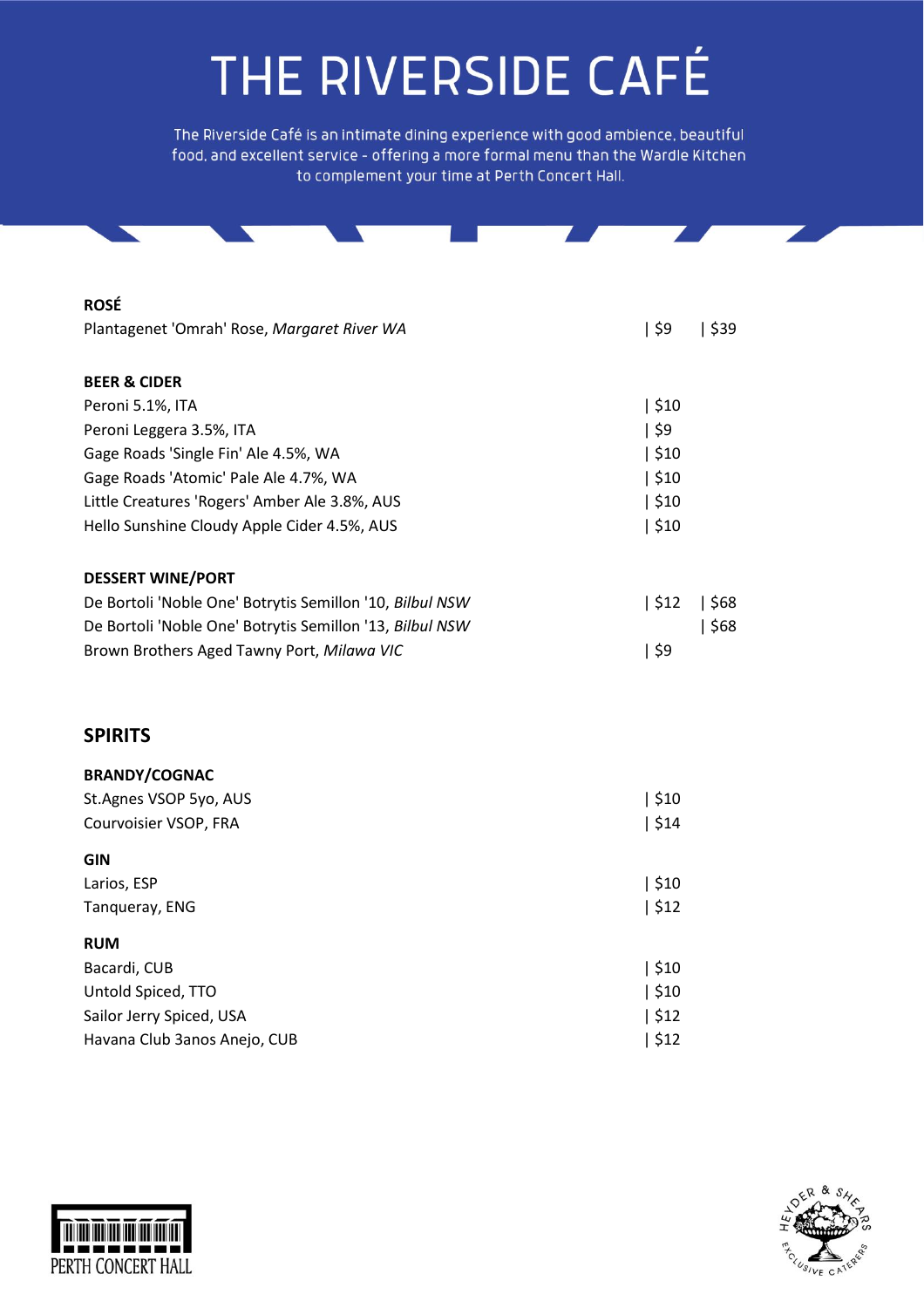The Riverside Café is an intimate dining experience with good ambience, beautiful food, and excellent service - offering a more formal menu than the Wardle Kitchen to complement your time at Perth Concert Hall.

| <b>ROSÉ</b>                                              |      |      |
|----------------------------------------------------------|------|------|
| Plantagenet 'Omrah' Rose, Margaret River WA              | \$9  | \$39 |
|                                                          |      |      |
| <b>BEER &amp; CIDER</b>                                  |      |      |
| Peroni 5.1%, ITA                                         | \$10 |      |
| Peroni Leggera 3.5%, ITA                                 | \$9  |      |
| Gage Roads 'Single Fin' Ale 4.5%, WA                     | \$10 |      |
| Gage Roads 'Atomic' Pale Ale 4.7%, WA                    | \$10 |      |
| Little Creatures 'Rogers' Amber Ale 3.8%, AUS            | \$10 |      |
| Hello Sunshine Cloudy Apple Cider 4.5%, AUS              | \$10 |      |
|                                                          |      |      |
| <b>DESSERT WINE/PORT</b>                                 |      |      |
| De Bortoli 'Noble One' Botrytis Semillon '10, Bilbul NSW | \$12 | \$68 |
| De Bortoli 'Noble One' Botrytis Semillon '13, Bilbul NSW |      | \$68 |
| Brown Brothers Aged Tawny Port, Milawa VIC               | \$9  |      |
|                                                          |      |      |
|                                                          |      |      |
| <b>SPIRITS</b>                                           |      |      |
|                                                          |      |      |
| <b>BRANDY/COGNAC</b>                                     |      |      |
| St.Agnes VSOP 5yo, AUS                                   | \$10 |      |
| Courvoisier VSOP, FRA                                    | \$14 |      |
| $\sim$                                                   |      |      |

| GIN                          |      |
|------------------------------|------|
| Larios, ESP                  | \$10 |
| Tanqueray, ENG               | \$12 |
| <b>RUM</b>                   |      |
| Bacardi, CUB                 | \$10 |
| Untold Spiced, TTO           | \$10 |
| Sailor Jerry Spiced, USA     | \$12 |
| Havana Club 3anos Anejo, CUB | \$12 |